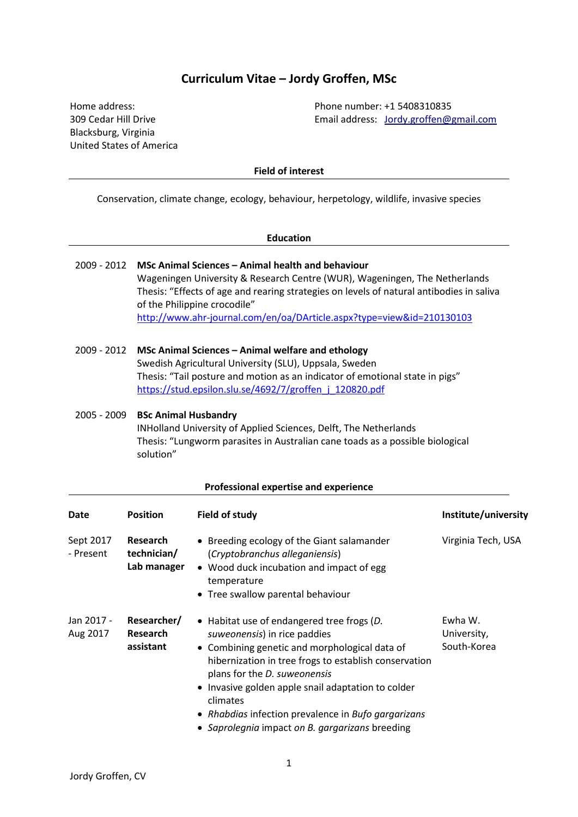# **Curriculum Vitae – Jordy Groffen, MSc**

Blacksburg, Virginia United States of America

Home address: Phone number: +1 5408310835 309 Cedar Hill Drive Email address: [Jordy.groffen@gmail.com](mailto:Jordy.groffen@gmail.com)

**Field of interest**

Conservation, climate change, ecology, behaviour, herpetology, wildlife, invasive species

|                            |                                                                                                                                                                                                                                                                                                                                                           | <b>Education</b>                                                                                                                                                                                                                                                                                                                                                                                 |                                       |  |  |  |
|----------------------------|-----------------------------------------------------------------------------------------------------------------------------------------------------------------------------------------------------------------------------------------------------------------------------------------------------------------------------------------------------------|--------------------------------------------------------------------------------------------------------------------------------------------------------------------------------------------------------------------------------------------------------------------------------------------------------------------------------------------------------------------------------------------------|---------------------------------------|--|--|--|
| 2009 - 2012                |                                                                                                                                                                                                                                                                                                                                                           | MSc Animal Sciences - Animal health and behaviour<br>Wageningen University & Research Centre (WUR), Wageningen, The Netherlands<br>Thesis: "Effects of age and rearing strategies on levels of natural antibodies in saliva<br>of the Philippine crocodile"<br>http://www.ahr-journal.com/en/oa/DArticle.aspx?type=view&id=210130103                                                             |                                       |  |  |  |
| 2009 - 2012<br>2005 - 2009 | MSc Animal Sciences - Animal welfare and ethology<br>Swedish Agricultural University (SLU), Uppsala, Sweden<br>Thesis: "Tail posture and motion as an indicator of emotional state in pigs"<br>https://stud.epsilon.slu.se/4692/7/groffen j 120820.pdf<br><b>BSc Animal Husbandry</b><br>INHolland University of Applied Sciences, Delft, The Netherlands |                                                                                                                                                                                                                                                                                                                                                                                                  |                                       |  |  |  |
|                            | solution"                                                                                                                                                                                                                                                                                                                                                 | Thesis: "Lungworm parasites in Australian cane toads as a possible biological                                                                                                                                                                                                                                                                                                                    |                                       |  |  |  |
|                            |                                                                                                                                                                                                                                                                                                                                                           | Professional expertise and experience                                                                                                                                                                                                                                                                                                                                                            |                                       |  |  |  |
| <b>Date</b>                | <b>Position</b>                                                                                                                                                                                                                                                                                                                                           | Field of study                                                                                                                                                                                                                                                                                                                                                                                   | Institute/university                  |  |  |  |
| Sept 2017<br>- Present     | Research<br>technician/<br>Lab manager                                                                                                                                                                                                                                                                                                                    | • Breeding ecology of the Giant salamander<br>(Cryptobranchus alleganiensis)<br>• Wood duck incubation and impact of egg<br>temperature<br>• Tree swallow parental behaviour                                                                                                                                                                                                                     | Virginia Tech, USA                    |  |  |  |
| Jan 2017 -<br>Aug 2017     | Researcher/<br><b>Research</b><br>assistant                                                                                                                                                                                                                                                                                                               | • Habitat use of endangered tree frogs (D.<br>suweonensis) in rice paddies<br>• Combining genetic and morphological data of<br>hibernization in tree frogs to establish conservation<br>plans for the D. suweonensis<br>• Invasive golden apple snail adaptation to colder<br>climates<br>• Rhabdias infection prevalence in Bufo gargarizans<br>• Saprolegnia impact on B. gargarizans breeding | Ewha W.<br>University,<br>South-Korea |  |  |  |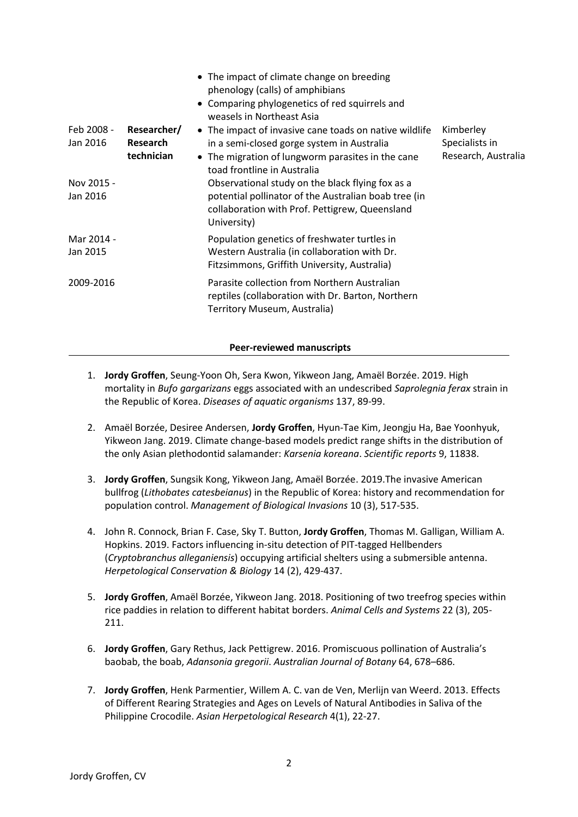|                        |                                       | • The impact of climate change on breeding<br>phenology (calls) of amphibians<br>• Comparing phylogenetics of red squirrels and<br>weasels in Northeast Asia                             |                                                    |
|------------------------|---------------------------------------|------------------------------------------------------------------------------------------------------------------------------------------------------------------------------------------|----------------------------------------------------|
| Feb 2008 -<br>Jan 2016 | Researcher/<br>Research<br>technician | • The impact of invasive cane toads on native wildlife<br>in a semi-closed gorge system in Australia<br>• The migration of lungworm parasites in the cane<br>toad frontline in Australia | Kimberley<br>Specialists in<br>Research, Australia |
| Nov 2015 -<br>Jan 2016 |                                       | Observational study on the black flying fox as a<br>potential pollinator of the Australian boab tree (in<br>collaboration with Prof. Pettigrew, Queensland<br>University)                |                                                    |
| Mar 2014 -<br>Jan 2015 |                                       | Population genetics of freshwater turtles in<br>Western Australia (in collaboration with Dr.<br>Fitzsimmons, Griffith University, Australia)                                             |                                                    |
| 2009-2016              |                                       | Parasite collection from Northern Australian<br>reptiles (collaboration with Dr. Barton, Northern<br>Territory Museum, Australia)                                                        |                                                    |

### **Peer-reviewed manuscripts**

- 1. **Jordy Groffen**, Seung-Yoon Oh, Sera Kwon, Yikweon Jang, Amaël Borzée. 2019. High mortality in *Bufo gargarizans* eggs associated with an undescribed *Saprolegnia ferax* strain in the Republic of Korea. *Diseases of aquatic organisms* 137, 89-99.
- 2. Amaël Borzée, Desiree Andersen, **Jordy Groffen**, Hyun-Tae Kim, Jeongju Ha, Bae Yoonhyuk, Yikweon Jang. 2019. Climate change-based models predict range shifts in the distribution of the only Asian plethodontid salamander: *Karsenia koreana*. *Scientific reports* 9, 11838.
- 3. **Jordy Groffen**, Sungsik Kong, Yikweon Jang, Amaël Borzée. 2019.The invasive American bullfrog (*Lithobates catesbeianus*) in the Republic of Korea: history and recommendation for population control. *Management of Biological Invasions* 10 (3), 517-535.
- 4. John R. Connock, Brian F. Case, Sky T. Button, **Jordy Groffen**, Thomas M. Galligan, William A. Hopkins. 2019. Factors influencing in-situ detection of PIT-tagged Hellbenders (*Cryptobranchus alleganiensis*) occupying artificial shelters using a submersible antenna. *Herpetological Conservation & Biology* 14 (2), 429-437.
- 5. **Jordy Groffen**, Amaël Borzée, Yikweon Jang. 2018. Positioning of two treefrog species within rice paddies in relation to different habitat borders. *Animal Cells and Systems* 22 (3), 205- 211.
- 6. **Jordy Groffen**, Gary Rethus, Jack Pettigrew. 2016. Promiscuous pollination of Australia's baobab, the boab, *Adansonia gregorii*. *Australian Journal of Botany* 64, 678–686.
- 7. **Jordy Groffen**, Henk Parmentier, Willem A. C. van de Ven, Merlijn van Weerd. 2013. Effects of Different Rearing Strategies and Ages on Levels of Natural Antibodies in Saliva of the Philippine Crocodile. *Asian Herpetological Research* 4(1), 22-27.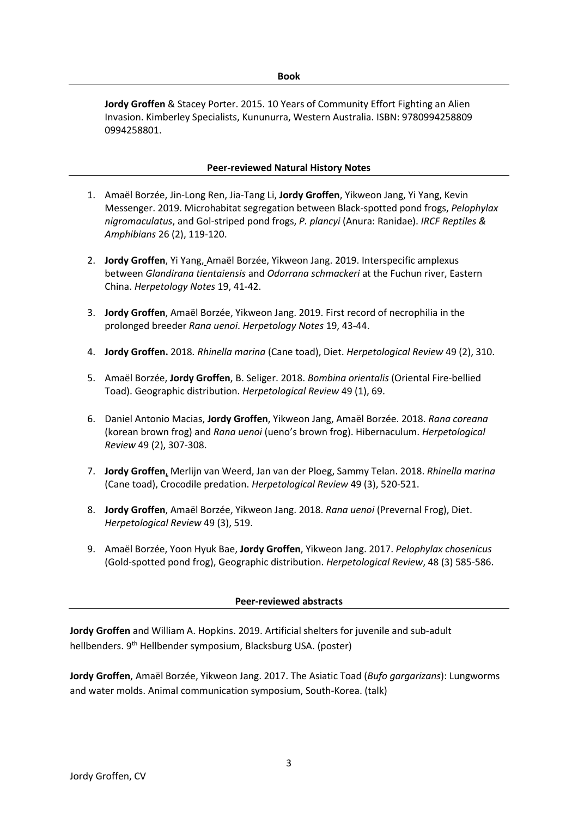**Jordy Groffen** & Stacey Porter. 2015. 10 Years of Community Effort Fighting an Alien Invasion. Kimberley Specialists, Kununurra, Western Australia. ISBN: 9780994258809 0994258801.

### **Peer-reviewed Natural History Notes**

- 1. Amaël Borzée, Jin-Long Ren, Jia-Tang Li, **Jordy Groffen**, Yikweon Jang, Yi Yang, Kevin Messenger. 2019. Microhabitat segregation between Black-spotted pond frogs, *Pelophylax nigromaculatus*, and Gol-striped pond frogs, *P. plancyi* (Anura: Ranidae). *IRCF Reptiles & Amphibians* 26 (2), 119-120.
- 2. **Jordy Groffen**, Yi Yang, Amaël Borzée, Yikweon Jang. 2019. Interspecific amplexus between *Glandirana tientaiensis* and *Odorrana schmackeri* at the Fuchun river, Eastern China. *Herpetology Notes* 19, 41-42.
- 3. **Jordy Groffen**, Amaël Borzée, Yikweon Jang. 2019. First record of necrophilia in the prolonged breeder *Rana uenoi*. *Herpetology Notes* 19, 43-44.
- 4. **Jordy Groffen.** 2018*. Rhinella marina* (Cane toad), Diet. *Herpetological Review* 49 (2), 310.
- 5. Amaël Borzée, **Jordy Groffen**, B. Seliger. 2018. *Bombina orientalis* (Oriental Fire-bellied Toad). Geographic distribution. *Herpetological Review* 49 (1), 69.
- 6. Daniel Antonio Macias, **Jordy Groffen**, Yikweon Jang, Amaël Borzée. 2018. *Rana coreana* (korean brown frog) and *Rana uenoi* (ueno's brown frog). Hibernaculum. *Herpetological Review* 49 (2), 307-308.
- 7. **Jordy Groffen**, Merlijn van Weerd, Jan van der Ploeg, Sammy Telan. 2018. *Rhinella marina*  (Cane toad), Crocodile predation. *Herpetological Review* 49 (3), 520-521.
- 8. **Jordy Groffen**, Amaël Borzée, Yikweon Jang. 2018. *Rana uenoi* (Prevernal Frog), Diet. *Herpetological Review* 49 (3), 519.
- 9. Amaël Borzée, Yoon Hyuk Bae, **Jordy Groffen**, Yikweon Jang. 2017. *Pelophylax chosenicus* (Gold-spotted pond frog), Geographic distribution. *Herpetological Review*, 48 (3) 585-586.

#### **Peer-reviewed abstracts**

**Jordy Groffen** and William A. Hopkins. 2019. Artificial shelters for juvenile and sub-adult hellbenders. 9<sup>th</sup> Hellbender symposium, Blacksburg USA. (poster)

**Jordy Groffen**, Amaël Borzée, Yikweon Jang. 2017. The Asiatic Toad (*Bufo gargarizans*): Lungworms and water molds. Animal communication symposium, South-Korea. (talk)